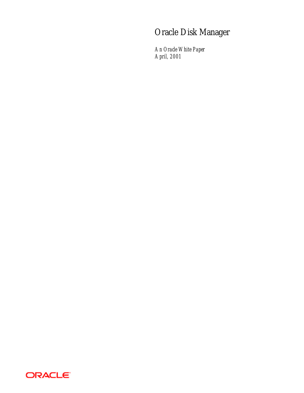# Oracle Disk Manager

*An Oracle White Paper April, 2001*

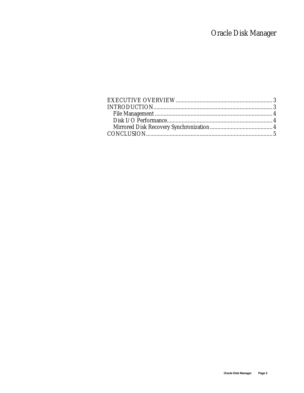# Oracle Disk Manager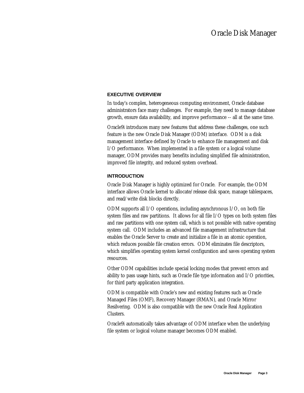# **EXECUTIVE OVERVIEW**

In today's complex, heterogeneous computing environment, Oracle database administrators face many challenges. For example, they need to manage database growth, ensure data availability, and improve performance -- all at the same time.

Oracle9*i* introduces many new features that address these challenges, one such feature is the new Oracle Disk Manager (ODM) interface. ODM is a disk management interface defined by Oracle to enhance file management and disk I/O performance. When implemented in a file system or a logical volume manager, ODM provides many benefits including simplified file administration, improved file integrity, and reduced system overhead.

### **INTRODUCTION**

Oracle Disk Manager is highly optimized for Oracle. For example, the ODM interface allows Oracle kernel to allocate/release disk space, manage tablespaces, and read/write disk blocks directly.

ODM supports all I/O operations, including asynchronous I/O, on both file system files and raw partitions. It allows for all file I/O types on both system files and raw partitions with one system call, which is not possible with native operating system call. ODM includes an advanced file management infrastructure that enables the Oracle Server to create and initialize a file in an atomic operation, which reduces possible file creation errors. ODM eliminates file descriptors, which simplifies operating system kernel configuration and saves operating system resources.

Other ODM capabilities include special locking modes that prevent errors and ability to pass usage hints, such as Oracle file type information and I/O priorities, for third party application integration.

ODM is compatible with Oracle's new and existing features such as Oracle Managed Files (OMF), Recovery Manager (RMAN), and Oracle Mirror Resilvering. ODM is also compatible with the new Oracle Real Application Clusters.

Oracle9*i* automatically takes advantage of ODM interface when the underlying file system or logical volume manager becomes ODM enabled.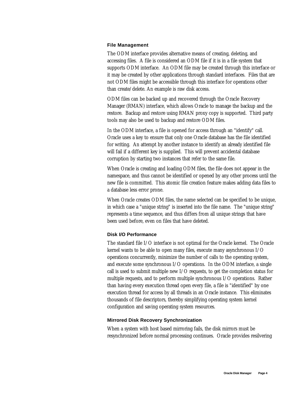#### **File Management**

The ODM interface provides alternative means of creating, deleting, and accessing files. A file is considered an ODM file if it is in a file system that supports ODM interface. An ODM file may be created through this interface or it may be created by other applications through standard interfaces. Files that are not ODM files might be accessible through this interface for operations other than create/delete. An example is raw disk access.

ODM files can be backed up and recovered through the Oracle Recovery Manager (RMAN) interface, which allows Oracle to manage the backup and the restore. Backup and restore using RMAN proxy copy is supported. Third party tools may also be used to backup and restore ODM files.

In the ODM interface, a file is opened for access through an "identify" call. Oracle uses a key to ensure that only one Oracle database has the file identified for writing. An attempt by another instance to identify an already identified file will fail if a different key is supplied. This will prevent accidental database corruption by starting two instances that refer to the same file.

When Oracle is creating and loading ODM files, the file does not appear in the namespace, and thus cannot be identified or opened by any other process until the new file is committed. This atomic file creation feature makes adding data files to a database less error prone.

When Oracle creates ODM files, the name selected can be specified to be unique, in which case a "unique string" is inserted into the file name. The "unique string" represents a time sequence, and thus differs from all unique strings that have been used before, even on files that have deleted.

# **Disk I/O Performance**

The standard file I/O interface is not optimal for the Oracle kernel. The Oracle kernel wants to be able to open many files, execute many asynchronous I/O operations concurrently, minimize the number of calls to the operating system, and execute some synchronous I/O operations. In the ODM interface, a single call is used to submit multiple new I/O requests, to get the completion status for multiple requests, and to perform multiple synchronous I/O operations. Rather than having every execution thread open every file, a file is "identified" by one execution thread for access by all threads in an Oracle instance. This eliminates thousands of file descriptors, thereby simplifying operating system kernel configuration and saving operating system resources.

#### **Mirrored Disk Recovery Synchronization**

When a system with host based mirroring fails, the disk mirrors must be resynchronized before normal processing continues. Oracle provides resilvering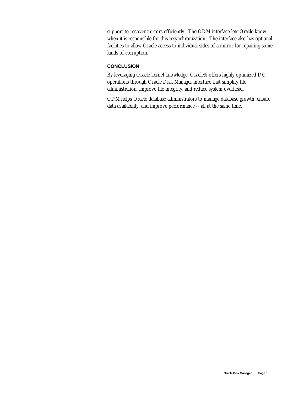support to recover mirrors efficiently. The ODM interface lets Oracle know when it is responsible for this resynchronization. The interface also has optional facilities to allow Oracle access to individual sides of a mirror for repairing some kinds of corruption.

# **CONCLUSION**

By leveraging Oracle kernel knowledge, Oracle9*i* offers highly optimized I/O operations through Oracle Disk Manager interface that simplify file administration, improve file integrity, and reduce system overhead.

ODM helps Oracle database administrators to manage database growth, ensure data availability, and improve performance -- all at the same time.